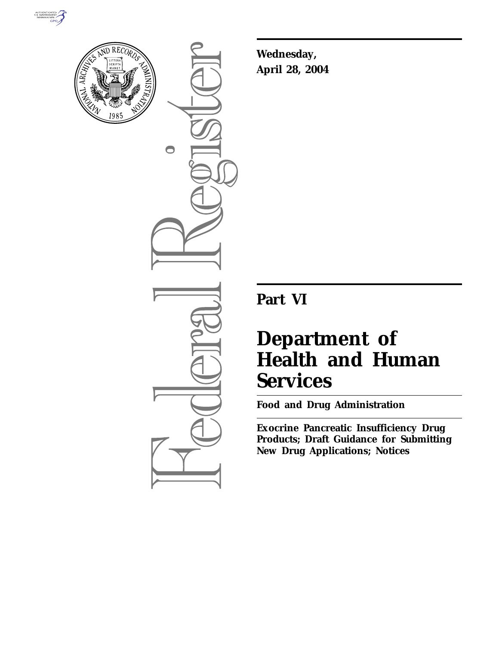



 $\bigcirc$ 

**Wednesday, April 28, 2004**

# **Part VI**

# **Department of Health and Human Services**

**Food and Drug Administration** 

**Exocrine Pancreatic Insufficiency Drug Products; Draft Guidance for Submitting New Drug Applications; Notices**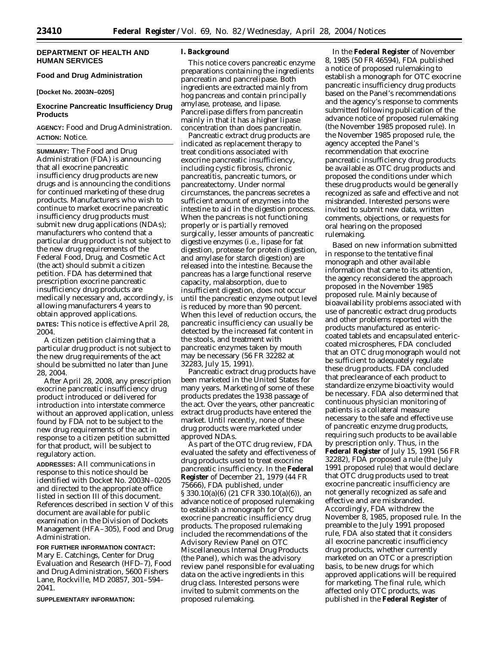# **DEPARTMENT OF HEALTH AND HUMAN SERVICES**

# **Food and Drug Administration**

**[Docket No. 2003N–0205]**

# **Exocrine Pancreatic Insufficiency Drug Products**

**AGENCY:** Food and Drug Administration. **ACTION:** Notice.

**SUMMARY:** The Food and Drug Administration (FDA) is announcing that all exocrine pancreatic insufficiency drug products are new drugs and is announcing the conditions for continued marketing of these drug products. Manufacturers who wish to continue to market exocrine pancreatic insufficiency drug products must submit new drug applications (NDAs); manufacturers who contend that a particular drug product is not subject to the new drug requirements of the Federal Food, Drug, and Cosmetic Act (the act) should submit a citizen petition. FDA has determined that prescription exocrine pancreatic insufficiency drug products are medically necessary and, accordingly, is allowing manufacturers 4 years to obtain approved applications. **DATES:** This notice is effective April 28, 2004.

A citizen petition claiming that a particular drug product is not subject to the new drug requirements of the act should be submitted no later than June 28, 2004.

After April 28, 2008, any prescription exocrine pancreatic insufficiency drug product introduced or delivered for introduction into interstate commerce without an approved application, unless found by FDA not to be subject to the new drug requirements of the act in response to a citizen petition submitted for that product, will be subject to regulatory action.

**ADDRESSES:** All communications in response to this notice should be identified with Docket No. 2003N–0205 and directed to the appropriate office listed in section III of this document. References described in section V of this document are available for public examination in the Division of Dockets Management (HFA–305), Food and Drug Administration.

**FOR FURTHER INFORMATION CONTACT:** Mary E. Catchings, Center for Drug Evaluation and Research (HFD–7), Food and Drug Administration, 5600 Fishers Lane, Rockville, MD 20857, 301–594– 2041.

**SUPPLEMENTARY INFORMATION:**

#### **I. Background**

This notice covers pancreatic enzyme preparations containing the ingredients pancreatin and pancrelipase. Both ingredients are extracted mainly from hog pancreas and contain principally amylase, protease, and lipase. Pancrelipase differs from pancreatin mainly in that it has a higher lipase concentration than does pancreatin.

Pancreatic extract drug products are indicated as replacement therapy to treat conditions associated with exocrine pancreatic insufficiency, including cystic fibrosis, chronic pancreatitis, pancreatic tumors, or pancreatectomy. Under normal circumstances, the pancreas secretes a sufficient amount of enzymes into the intestine to aid in the digestion process. When the pancreas is not functioning properly or is partially removed surgically, lesser amounts of pancreatic digestive enzymes (i.e., lipase for fat digestion, protease for protein digestion, and amylase for starch digestion) are released into the intestine. Because the pancreas has a large functional reserve capacity, malabsorption, due to insufficient digestion, does not occur until the pancreatic enzyme output level is reduced by more than 90 percent. When this level of reduction occurs, the pancreatic insufficiency can usually be detected by the increased fat content in the stools, and treatment with pancreatic enzymes taken by mouth may be necessary (56 FR 32282 at 32283, July 15, 1991).

Pancreatic extract drug products have been marketed in the United States for many years. Marketing of some of these products predates the 1938 passage of the act. Over the years, other pancreatic extract drug products have entered the market. Until recently, none of these drug products were marketed under approved NDAs.

As part of the OTC drug review, FDA evaluated the safety and effectiveness of drug products used to treat exocrine pancreatic insufficiency. In the **Federal Register** of December 21, 1979 (44 FR 75666), FDA published, under § 330.10(a)(6) (21 CFR 330.10(a)(6)), an advance notice of proposed rulemaking to establish a monograph for OTC exocrine pancreatic insufficiency drug products. The proposed rulemaking included the recommendations of the Advisory Review Panel on OTC Miscellaneous Internal Drug Products (the Panel), which was the advisory review panel responsible for evaluating data on the active ingredients in this drug class. Interested persons were invited to submit comments on the proposed rulemaking.

In the **Federal Register** of November 8, 1985 (50 FR 46594), FDA published a notice of proposed rulemaking to establish a monograph for OTC exocrine pancreatic insufficiency drug products based on the Panel's recommendations and the agency's response to comments submitted following publication of the advance notice of proposed rulemaking (the November 1985 proposed rule). In the November 1985 proposed rule, the agency accepted the Panel's recommendation that exocrine pancreatic insufficiency drug products be available as OTC drug products and proposed the conditions under which these drug products would be generally recognized as safe and effective and not misbranded. Interested persons were invited to submit new data, written comments, objections, or requests for oral hearing on the proposed rulemaking.

Based on new information submitted in response to the tentative final monograph and other available information that came to its attention, the agency reconsidered the approach proposed in the November 1985 proposed rule. Mainly because of bioavailability problems associated with use of pancreatic extract drug products and other problems reported with the products manufactured as entericcoated tablets and encapsulated entericcoated microspheres, FDA concluded that an OTC drug monograph would not be sufficient to adequately regulate these drug products. FDA concluded that preclearance of each product to standardize enzyme bioactivity would be necessary. FDA also determined that continuous physician monitoring of patients is a collateral measure necessary to the safe and effective use of pancreatic enzyme drug products, requiring such products to be available by prescription only. Thus, in the **Federal Register** of July 15, 1991 (56 FR 32282), FDA proposed a rule (the July 1991 proposed rule) that would declare that OTC drug products used to treat exocrine pancreatic insufficiency are not generally recognized as safe and effective and are misbranded. Accordingly, FDA withdrew the November 8, 1985, proposed rule. In the preamble to the July 1991 proposed rule, FDA also stated that it considers all exocrine pancreatic insufficiency drug products, whether currently marketed on an OTC or a prescription basis, to be new drugs for which approved applications will be required for marketing. The final rule, which affected only OTC products, was published in the **Federal Register** of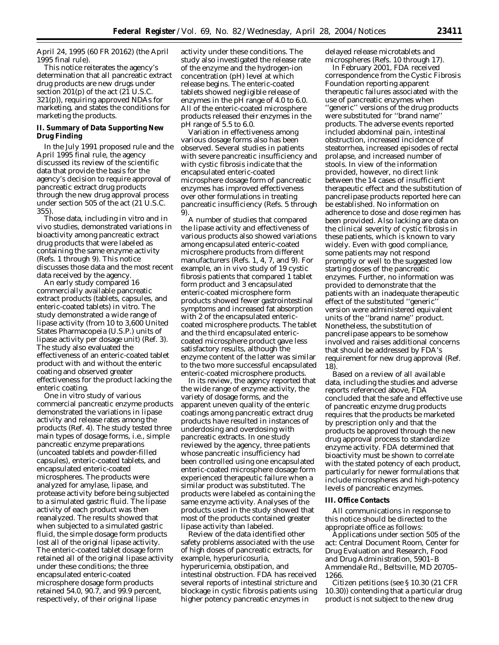April 24, 1995 (60 FR 20162) (the April 1995 final rule).

This notice reiterates the agency's determination that all pancreatic extract drug products are new drugs under section 201(p) of the act (21 U.S.C. 321(p)), requiring approved NDAs for marketing, and states the conditions for marketing the products.

# **II. Summary of Data Supporting New Drug Finding**

In the July 1991 proposed rule and the April 1995 final rule, the agency discussed its review of the scientific data that provide the basis for the agency's decision to require approval of pancreatic extract drug products through the new drug approval process under section 505 of the act (21 U.S.C. 355).

Those data, including in vitro and in vivo studies, demonstrated variations in bioactivity among pancreatic extract drug products that were labeled as containing the same enzyme activity (Refs. 1 through 9). This notice discusses those data and the most recent data received by the agency.

An early study compared 16 commercially available pancreatic extract products (tablets, capsules, and enteric-coated tablets) in vitro. The study demonstrated a wide range of lipase activity (from 10 to 3,600 United States Pharmacopeia (U.S.P.) units of lipase activity per dosage unit) (Ref. 3). The study also evaluated the effectiveness of an enteric-coated tablet product with and without the enteric coating and observed greater effectiveness for the product lacking the enteric coating.

One in vitro study of various commercial pancreatic enzyme products demonstrated the variations in lipase activity and release rates among the products (Ref. 4). The study tested three main types of dosage forms, i.e., simple pancreatic enzyme preparations (uncoated tablets and powder-filled capsules), enteric-coated tablets, and encapsulated enteric-coated microspheres. The products were analyzed for amylase, lipase, and protease activity before being subjected to a simulated gastric fluid. The lipase activity of each product was then reanalyzed. The results showed that when subjected to a simulated gastric fluid, the simple dosage form products lost all of the original lipase activity. The enteric-coated tablet dosage form retained all of the original lipase activity under these conditions; the three encapsulated enteric-coated microsphere dosage form products retained 54.0, 90.7, and 99.9 percent, respectively, of their original lipase

activity under these conditions. The study also investigated the release rate of the enzyme and the hydrogen-ion concentration (pH) level at which release begins. The enteric-coated tablets showed negligible release of enzymes in the pH range of 4.0 to 6.0. All of the enteric-coated microsphere products released their enzymes in the pH range of 5.5 to 6.0.

Variation in effectiveness among various dosage forms also has been observed. Several studies in patients with severe pancreatic insufficiency and with cystic fibrosis indicate that the encapsulated enteric-coated microsphere dosage form of pancreatic enzymes has improved effectiveness over other formulations in treating pancreatic insufficiency (Refs. 5 through 9).

A number of studies that compared the lipase activity and effectiveness of various products also showed variations among encapsulated enteric-coated microsphere products from different manufacturers (Refs. 1, 4, 7, and 9). For example, an in vivo study of 19 cystic fibrosis patients that compared 1 tablet form product and 3 encapsulated enteric-coated microsphere form products showed fewer gastrointestinal symptoms and increased fat absorption with 2 of the encapsulated entericcoated microsphere products. The tablet and the third encapsulated entericcoated microsphere product gave less satisfactory results, although the enzyme content of the latter was similar to the two more successful encapsulated enteric-coated microsphere products.

In its review, the agency reported that the wide range of enzyme activity, the variety of dosage forms, and the apparent uneven quality of the enteric coatings among pancreatic extract drug products have resulted in instances of underdosing and overdosing with pancreatic extracts. In one study reviewed by the agency, three patients whose pancreatic insufficiency had been controlled using one encapsulated enteric-coated microsphere dosage form experienced therapeutic failure when a similar product was substituted. The products were labeled as containing the same enzyme activity. Analyses of the products used in the study showed that most of the products contained greater lipase activity than labeled.

Review of the data identified other safety problems associated with the use of high doses of pancreatic extracts, for example, hyperuricosuria, hyperuricemia, obstipation, and intestinal obstruction. FDA has received several reports of intestinal stricture and blockage in cystic fibrosis patients using higher potency pancreatic enzymes in

delayed release microtablets and microspheres (Refs. 10 through 17).

In February 2001, FDA received correspondence from the Cystic Fibrosis Foundation reporting apparent therapeutic failures associated with the use of pancreatic enzymes when ''generic'' versions of the drug products were substituted for ''brand name'' products. The adverse events reported included abdominal pain, intestinal obstruction, increased incidence of steatorrhea, increased episodes of rectal prolapse, and increased number of stools. In view of the information provided, however, no direct link between the 14 cases of insufficient therapeutic effect and the substitution of pancrelipase products reported here can be established. No information on adherence to dose and dose regimen has been provided. Also lacking are data on the clinical severity of cystic fibrosis in these patients, which is known to vary widely. Even with good compliance, some patients may not respond promptly or well to the suggested low starting doses of the pancreatic enzymes. Further, no information was provided to demonstrate that the patients with an inadequate therapeutic effect of the substituted ''generic'' version were administered equivalent units of the ''brand name'' product. Nonetheless, the substitution of pancrelipase appears to be somehow involved and raises additional concerns that should be addressed by FDA's requirement for new drug approval (Ref. 18).

Based on a review of all available data, including the studies and adverse reports referenced above, FDA concluded that the safe and effective use of pancreatic enzyme drug products requires that the products be marketed by prescription only and that the products be approved through the new drug approval process to standardize enzyme activity. FDA determined that bioactivity must be shown to correlate with the stated potency of each product, particularly for newer formulations that include microspheres and high-potency levels of pancreatic enzymes.

#### **III. Office Contacts**

All communications in response to this notice should be directed to the appropriate office as follows:

Applications under section 505 of the act: Central Document Room, Center for Drug Evaluation and Research, Food and Drug Administration, 5901–B Ammendale Rd., Beltsville, MD 20705– 1266.

Citizen petitions (see § 10.30 (21 CFR 10.30)) contending that a particular drug product is not subject to the new drug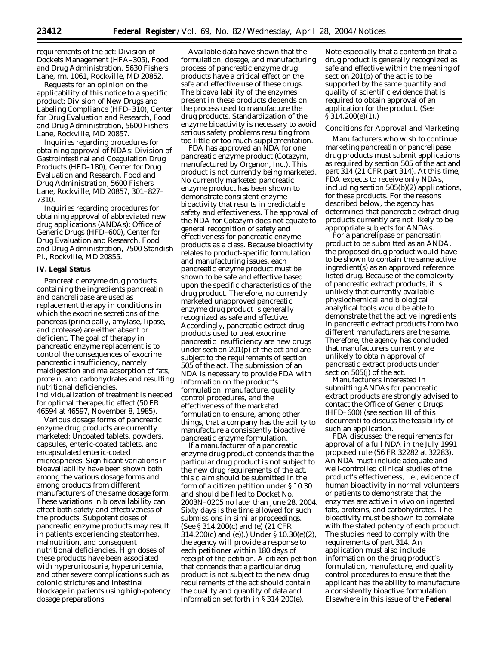requirements of the act: Division of Dockets Management (HFA–305), Food and Drug Administration, 5630 Fishers Lane, rm. 1061, Rockville, MD 20852.

Requests for an opinion on the applicability of this notice to a specific product: Division of New Drugs and Labeling Compliance (HFD–310), Center for Drug Evaluation and Research, Food and Drug Administration, 5600 Fishers Lane, Rockville, MD 20857.

Inquiries regarding procedures for obtaining approval of NDAs: Division of Gastrointestinal and Coagulation Drug Products (HFD–180), Center for Drug Evaluation and Research, Food and Drug Administration, 5600 Fishers Lane, Rockville, MD 20857, 301–827– 7310.

Inquiries regarding procedures for obtaining approval of abbreviated new drug applications (ANDAs): Office of Generic Drugs (HFD–600), Center for Drug Evaluation and Research, Food and Drug Administration, 7500 Standish Pl., Rockville, MD 20855.

#### **IV. Legal Status**

Pancreatic enzyme drug products containing the ingredients pancreatin and pancrelipase are used as replacement therapy in conditions in which the exocrine secretions of the pancreas (principally, amylase, lipase, and protease) are either absent or deficient. The goal of therapy in pancreatic enzyme replacement is to control the consequences of exocrine pancreatic insufficiency, namely maldigestion and malabsorption of fats, protein, and carbohydrates and resulting nutritional deficiencies. Individualization of treatment is needed for optimal therapeutic effect (50 FR 46594 at 46597, November 8, 1985).

Various dosage forms of pancreatic enzyme drug products are currently marketed: Uncoated tablets, powders, capsules, enteric-coated tablets, and encapsulated enteric-coated microspheres. Significant variations in bioavailability have been shown both among the various dosage forms and among products from different manufacturers of the same dosage form. These variations in bioavailability can affect both safety and effectiveness of the products. Subpotent doses of pancreatic enzyme products may result in patients experiencing steatorrhea, malnutrition, and consequent nutritional deficiencies. High doses of these products have been associated with hyperuricosuria, hyperuricemia, and other severe complications such as colonic strictures and intestinal blockage in patients using high-potency dosage preparations.

Available data have shown that the formulation, dosage, and manufacturing process of pancreatic enzyme drug products have a critical effect on the safe and effective use of these drugs. The bioavailability of the enzymes present in these products depends on the process used to manufacture the drug products. Standardization of the enzyme bioactivity is necessary to avoid serious safety problems resulting from too little or too much supplementation.

FDA has approved an NDA for one pancreatic enzyme product (Cotazym, manufactured by Organon, Inc.). This product is not currently being marketed. No currently marketed pancreatic enzyme product has been shown to demonstrate consistent enzyme bioactivity that results in predictable safety and effectiveness. The approval of the NDA for Cotazym does not equate to general recognition of safety and effectiveness for pancreatic enzyme products as a class. Because bioactivity relates to product-specific formulation and manufacturing issues, each pancreatic enzyme product must be shown to be safe and effective based upon the specific characteristics of the drug product. Therefore, no currently marketed unapproved pancreatic enzyme drug product is generally recognized as safe and effective. Accordingly, pancreatic extract drug products used to treat exocrine pancreatic insufficiency are new drugs under section 201(p) of the act and are subject to the requirements of section 505 of the act. The submission of an NDA is necessary to provide FDA with information on the product's formulation, manufacture, quality control procedures, and the effectiveness of the marketed formulation to ensure, among other things, that a company has the ability to manufacture a consistently bioactive pancreatic enzyme formulation.

If a manufacturer of a pancreatic enzyme drug product contends that the particular drug product is not subject to the new drug requirements of the act, this claim should be submitted in the form of a citizen petition under § 10.30 and should be filed to Docket No. 2003N–0205 no later than June 28, 2004. Sixty days is the time allowed for such submissions in similar proceedings. (See § 314.200(c) and (e) (21 CFR 314.200(c) and (e)).) Under § 10.30(e)(2), the agency will provide a response to each petitioner within 180 days of receipt of the petition. A citizen petition that contends that a particular drug product is not subject to the new drug requirements of the act should contain the quality and quantity of data and information set forth in § 314.200(e).

Note especially that a contention that a drug product is generally recognized as safe and effective within the meaning of section 201(p) of the act is to be supported by the same quantity and quality of scientific evidence that is required to obtain approval of an application for the product. (See § 314.200(e)(1).)

#### *Conditions for Approval and Marketing*

Manufacturers who wish to continue marketing pancreatin or pancrelipase drug products must submit applications as required by section 505 of the act and part 314 (21 CFR part 314). At this time, FDA expects to receive only NDAs, including section 505(b)(2) applications, for these products. For the reasons described below, the agency has determined that pancreatic extract drug products currently are not likely to be appropriate subjects for ANDAs.

For a pancrelipase or pancreatin product to be submitted as an ANDA, the proposed drug product would have to be shown to contain the same active ingredient(s) as an approved reference listed drug. Because of the complexity of pancreatic extract products, it is unlikely that currently available physiochemical and biological analytical tools would be able to demonstrate that the active ingredients in pancreatic extract products from two different manufacturers are the same. Therefore, the agency has concluded that manufacturers currently are unlikely to obtain approval of pancreatic extract products under section 505(j) of the act.

Manufacturers interested in submitting ANDAs for pancreatic extract products are strongly advised to contact the Office of Generic Drugs (HFD–600) (see section III of this document) to discuss the feasibility of such an application.

FDA discussed the requirements for approval of a full NDA in the July 1991 proposed rule (56 FR 32282 at 32283). An NDA must include adequate and well-controlled clinical studies of the product's effectiveness, i.e., evidence of human bioactivity in normal volunteers or patients to demonstrate that the enzymes are active in vivo on ingested fats, proteins, and carbohydrates. The bioactivity must be shown to correlate with the stated potency of each product. The studies need to comply with the requirements of part 314. An application must also include information on the drug product's formulation, manufacture, and quality control procedures to ensure that the applicant has the ability to manufacture a consistently bioactive formulation. Elsewhere in this issue of the **Federal**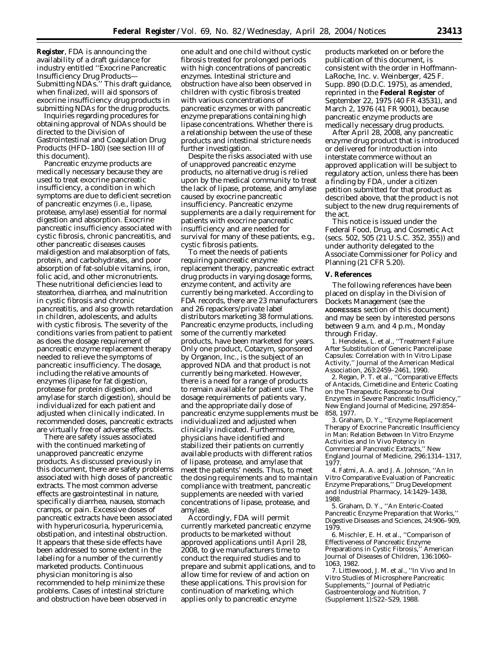**Register**, FDA is announcing the availability of a draft guidance for industry entitled ''Exocrine Pancreatic Insufficiency Drug Products— Submitting NDAs.'' This draft guidance, when finalized, will aid sponsors of exocrine insufficiency drug products in submitting NDAs for the drug products.

Inquiries regarding procedures for obtaining approval of NDAs should be directed to the Division of Gastrointestinal and Coagulation Drug Products (HFD–180) (see section III of this document).

Pancreatic enzyme products are medically necessary because they are used to treat exocrine pancreatic insufficiency, a condition in which symptoms are due to deficient secretion of pancreatic enzymes (i.e., lipase, protease, amylase) essential for normal digestion and absorption. Exocrine pancreatic insufficiency associated with cystic fibrosis, chronic pancreatitis, and other pancreatic diseases causes maldigestion and malabsorption of fats, protein, and carbohydrates, and poor absorption of fat-soluble vitamins, iron, folic acid, and other micronutrients. These nutritional deficiencies lead to steatorrhea, diarrhea, and malnutrition in cystic fibrosis and chronic pancreatitis, and also growth retardation in children, adolescents, and adults with cystic fibrosis. The severity of the conditions varies from patient to patient as does the dosage requirement of pancreatic enzyme replacement therapy needed to relieve the symptoms of pancreatic insufficiency. The dosage, including the relative amounts of enzymes (lipase for fat digestion, protease for protein digestion, and amylase for starch digestion), should be individualized for each patient and adjusted when clinically indicated. In recommended doses, pancreatic extracts are virtually free of adverse effects.

There are safety issues associated with the continued marketing of unapproved pancreatic enzyme products. As discussed previously in this document, there are safety problems associated with high doses of pancreatic extracts. The most common adverse effects are gastrointestinal in nature, specifically diarrhea, nausea, stomach cramps, or pain. Excessive doses of pancreatic extracts have been associated with hyperuricosuria, hyperuricemia, obstipation, and intestinal obstruction. It appears that these side effects have been addressed to some extent in the labeling for a number of the currently marketed products. Continuous physician monitoring is also recommended to help minimize these problems. Cases of intestinal stricture and obstruction have been observed in

one adult and one child without cystic fibrosis treated for prolonged periods with high concentrations of pancreatic enzymes. Intestinal stricture and obstruction have also been observed in children with cystic fibrosis treated with various concentrations of pancreatic enzymes or with pancreatic enzyme preparations containing high lipase concentrations. Whether there is a relationship between the use of these products and intestinal stricture needs further investigation.

Despite the risks associated with use of unapproved pancreatic enzyme products, no alternative drug is relied upon by the medical community to treat the lack of lipase, protease, and amylase caused by exocrine pancreatic insufficiency. Pancreatic enzyme supplements are a daily requirement for patients with exocrine pancreatic insufficiency and are needed for survival for many of these patients, e.g., cystic fibrosis patients.

To meet the needs of patients requiring pancreatic enzyme replacement therapy, pancreatic extract drug products in varying dosage forms, enzyme content, and activity are currently being marketed. According to FDA records, there are 23 manufacturers and 26 repackers/private label distributors marketing 38 formulations. Pancreatic enzyme products, including some of the currently marketed products, have been marketed for years. Only one product, Cotazym, sponsored by Organon, Inc., is the subject of an approved NDA and that product is not currently being marketed. However, there is a need for a range of products to remain available for patient use. The dosage requirements of patients vary, and the appropriate daily dose of pancreatic enzyme supplements must be individualized and adjusted when clinically indicated. Furthermore, physicians have identified and stabilized their patients on currently available products with different ratios of lipase, protease, and amylase that meet the patients' needs. Thus, to meet the dosing requirements and to maintain compliance with treatment, pancreatic supplements are needed with varied concentrations of lipase, protease, and amylase.

Accordingly, FDA will permit currently marketed pancreatic enzyme products to be marketed without approved applications until April 28, 2008, to give manufacturers time to conduct the required studies and to prepare and submit applications, and to allow time for review of and action on these applications. This provision for continuation of marketing, which applies only to pancreatic enzyme

products marketed on or before the publication of this document, is consistent with the order in *Hoffmann-LaRoche, Inc.* v. *Weinberger*, 425 F. Supp. 890 (D.D.C. 1975), as amended, reprinted in the **Federal Register** of September 22, 1975 (40 FR 43531), and March 2, 1976 (41 FR 9001), because pancreatic enzyme products are medically necessary drug products.

After April 28, 2008, any pancreatic enzyme drug product that is introduced or delivered for introduction into interstate commerce without an approved application will be subject to regulatory action, unless there has been a finding by FDA, under a citizen petition submitted for that product as described above, that the product is not subject to the new drug requirements of the act.

This notice is issued under the Federal Food, Drug, and Cosmetic Act (secs. 502, 505 (21 U.S.C. 352, 355)) and under authority delegated to the Associate Commissioner for Policy and Planning (21 CFR 5.20).

#### **V. References**

The following references have been placed on display in the Division of Dockets Management (see the **ADDRESSES** section of this document) and may be seen by interested persons between 9 a.m. and 4 p.m., Monday through Friday.

1. Hendeles, L. et al., ''Treatment Failure After Substitution of Generic Pancrelipase Capsules: Correlation with In Vitro Lipase Activity,'' *Journal of the American Medical Association*, 263:2459–2461, 1990.

2. Regan, P. T. et al., ''Comparative Effects of Antacids, Cimetidine and Enteric Coating on the Therapeutic Response to Oral Enzymes in Severe Pancreatic Insufficiency,'' *New England Journal of Medicine*, 297:854– 858, 1977.

3. Graham, D. Y., ''Enzyme Replacement Therapy of Exocrine Pancreatic Insufficiency in Man: Relation Between In Vitro Enzyme Activities and In Vivo Potency in Commercial Pancreatic Extracts,'' *New England Journal of Medicine*, 296:1314–1317, 1977.

4. Fatmi, A. A. and J. A. Johnson, ''An In Vitro Comparative Evaluation of Pancreatic Enzyme Preparations,'' *Drug Development and Industrial Pharmacy*, 14:1429–1438, 1988.

5. Graham, D. Y., ''An Enteric-Coated Pancreatic Enzyme Preparation that Works,'' *Digestive Diseases and Sciences*, 24:906–909, 1979.

6. Mischler, E. H. et al., ''Comparison of Effectiveness of Pancreatic Enzyme Preparations in Cystic Fibrosis,'' *American Journal of Diseases of Children*, 136:1060– 1063, 1982.

7. Littlewood, J. M. et al., ''In Vivo and In Vitro Studies of Microsphere Pancreatic Supplements,'' *Journal of Pediatric Gastroenterology and Nutrition*, 7 (Supplement 1):S22–S29, 1988.